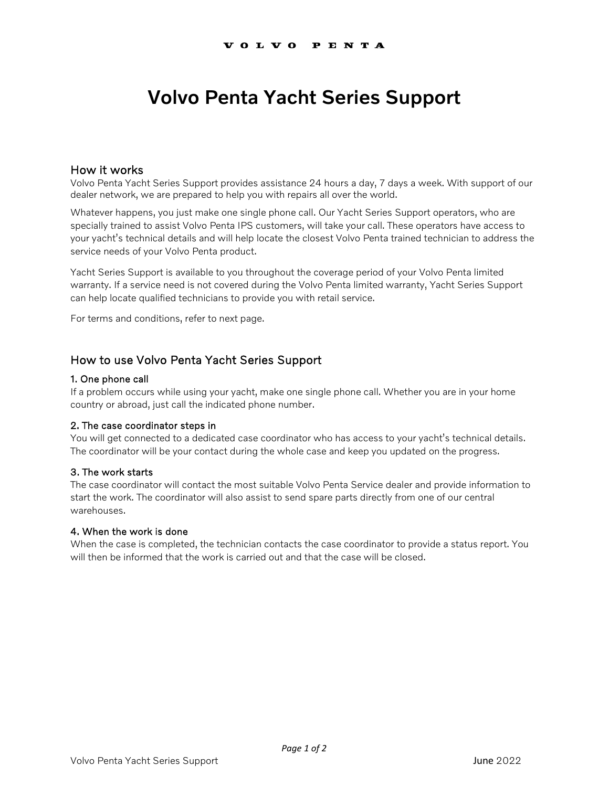# Volvo Penta Yacht Series Support

## How it works

Volvo Penta Yacht Series Support provides assistance 24 hours a day, 7 days a week. With support of our dealer network, we are prepared to help you with repairs all over the world.

Whatever happens, you just make one single phone call. Our Yacht Series Support operators, who are specially trained to assist Volvo Penta IPS customers, will take your call. These operators have access to your yacht's technical details and will help locate the closest Volvo Penta trained technician to address the service needs of your Volvo Penta product.

Yacht Series Support is available to you throughout the coverage period of your Volvo Penta limited warranty. If a service need is not covered during the Volvo Penta limited warranty, Yacht Series Support can help locate qualified technicians to provide you with retail service.

For terms and conditions, refer to next page.

# How to use Volvo Penta Yacht Series Support

#### 1. One phone call

If a problem occurs while using your yacht, make one single phone call. Whether you are in your home country or abroad, just call the indicated phone number.

## 2. The case coordinator steps in

You will get connected to a dedicated case coordinator who has access to your yacht's technical details. The coordinator will be your contact during the whole case and keep you updated on the progress.

#### 3. The work starts

The case coordinator will contact the most suitable Volvo Penta Service dealer and provide information to start the work. The coordinator will also assist to send spare parts directly from one of our central warehouses.

## 4. When the work is done

When the case is completed, the technician contacts the case coordinator to provide a status report. You will then be informed that the work is carried out and that the case will be closed.